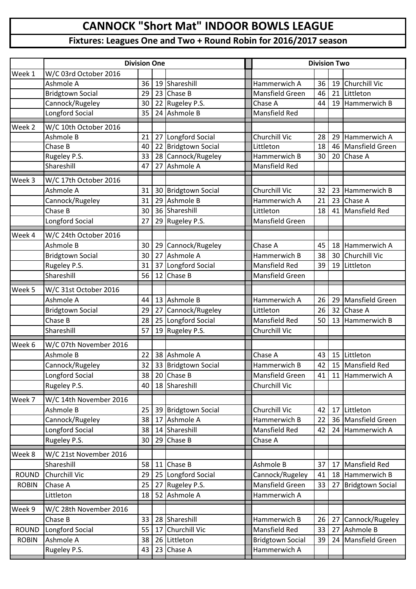## **CANNOCK "Short Mat" INDOOR BOWLS LEAGUE**

## **Fixtures: Leagues One and Two + Round Robin for 2016/2017 season**

|              | <b>Division One</b>     |    |    |                     |  | <b>Division Two</b>     |    |    |                      |
|--------------|-------------------------|----|----|---------------------|--|-------------------------|----|----|----------------------|
| Week 1       | W/C 03rd October 2016   |    |    |                     |  |                         |    |    |                      |
|              | Ashmole A               | 36 | 19 | Shareshill          |  | Hammerwich A            | 36 | 19 | <b>Churchill Vic</b> |
|              | <b>Bridgtown Social</b> | 29 |    | 23 Chase B          |  | Mansfield Green         | 46 | 21 | Littleton            |
|              | Cannock/Rugeley         | 30 |    | 22 Rugeley P.S.     |  | Chase A                 | 44 | 19 | Hammerwich B         |
|              | Longford Social         | 35 |    | 24 Ashmole B        |  | <b>Mansfield Red</b>    |    |    |                      |
| Week 2       | W/C 10th October 2016   |    |    |                     |  |                         |    |    |                      |
|              | Ashmole B               | 21 |    | 27 Longford Social  |  | Churchill Vic           | 28 | 29 | Hammerwich A         |
|              | Chase B                 | 40 |    | 22 Bridgtown Social |  | Littleton               | 18 | 46 | Mansfield Green      |
|              | Rugeley P.S.            | 33 |    | 28 Cannock/Rugeley  |  | Hammerwich B            | 30 | 20 | Chase A              |
|              | Shareshill              | 47 |    | 27 Ashmole A        |  | <b>Mansfield Red</b>    |    |    |                      |
| Week 3       | W/C 17th October 2016   |    |    |                     |  |                         |    |    |                      |
|              | Ashmole A               | 31 |    | 30 Bridgtown Social |  | Churchill Vic           | 32 | 23 | Hammerwich B         |
|              | Cannock/Rugeley         | 31 |    | 29 Ashmole B        |  | Hammerwich A            | 21 | 23 | Chase A              |
|              | Chase B                 | 30 |    | 36 Shareshill       |  | Littleton               | 18 | 41 | Mansfield Red        |
|              | Longford Social         | 27 |    | 29 Rugeley P.S.     |  | Mansfield Green         |    |    |                      |
|              |                         |    |    |                     |  |                         |    |    |                      |
| Week 4       | W/C 24th October 2016   |    |    |                     |  |                         |    |    |                      |
|              | Ashmole B               | 30 |    | 29 Cannock/Rugeley  |  | Chase A                 | 45 | 18 | Hammerwich A         |
|              | <b>Bridgtown Social</b> | 30 |    | 27 Ashmole A        |  | Hammerwich B            | 38 | 30 | Churchill Vic        |
|              | Rugeley P.S.            | 31 |    | 37 Longford Social  |  | Mansfield Red           | 39 | 19 | Littleton            |
|              | Shareshill              | 56 |    | 12 Chase B          |  | Mansfield Green         |    |    |                      |
| Week 5       | W/C 31st October 2016   |    |    |                     |  |                         |    |    |                      |
|              | Ashmole A               | 44 |    | 13 Ashmole B        |  | Hammerwich A            | 26 | 29 | Mansfield Green      |
|              | <b>Bridgtown Social</b> | 29 |    | 27 Cannock/Rugeley  |  | Littleton               | 26 | 32 | Chase A              |
|              | Chase B                 | 28 |    | 25 Longford Social  |  | <b>Mansfield Red</b>    | 50 | 13 | Hammerwich B         |
|              | Shareshill              | 57 |    | 19 Rugeley P.S.     |  | <b>Churchill Vic</b>    |    |    |                      |
| Week 6       | W/C 07th November 2016  |    |    |                     |  |                         |    |    |                      |
|              | Ashmole B               | 22 |    | 38 Ashmole A        |  | Chase A                 | 43 | 15 | Littleton            |
|              | Cannock/Rugeley         | 32 |    | 33 Bridgtown Social |  | Hammerwich B            | 42 |    | 15 Mansfield Red     |
|              | Longford Social         | 38 |    | 20 Chase B          |  | Mansfield Green         | 41 | 11 | Hammerwich A         |
|              | Rugeley P.S.            | 40 |    | 18 Shareshill       |  | Churchill Vic           |    |    |                      |
| Week 7       | W/C 14th November 2016  |    |    |                     |  |                         |    |    |                      |
|              | Ashmole B               | 25 |    | 39 Bridgtown Social |  | Churchill Vic           | 42 | 17 | Littleton            |
|              | Cannock/Rugeley         | 38 |    | 17 Ashmole A        |  | Hammerwich B            | 22 | 36 | Mansfield Green      |
|              | Longford Social         | 38 |    | 14 Shareshill       |  | Mansfield Red           | 42 | 24 | Hammerwich A         |
|              | Rugeley P.S.            | 30 | 29 | Chase B             |  | Chase A                 |    |    |                      |
|              |                         |    |    |                     |  |                         |    |    |                      |
| Week 8       | W/C 21st November 2016  |    |    |                     |  |                         |    |    |                      |
|              | Shareshill              | 58 |    | 11 Chase B          |  | Ashmole B               | 37 | 17 | Mansfield Red        |
| <b>ROUND</b> | Churchill Vic           | 29 |    | 25 Longford Social  |  | Cannock/Rugeley         | 41 | 18 | Hammerwich B         |
| <b>ROBIN</b> | Chase A                 | 25 |    | 27 Rugeley P.S.     |  | Mansfield Green         | 33 | 27 | Bridgtown Social     |
|              | Littleton               | 18 |    | 52 Ashmole A        |  | Hammerwich A            |    |    |                      |
| Week 9       | W/C 28th November 2016  |    |    |                     |  |                         |    |    |                      |
|              | Chase B                 | 33 |    | 28 Shareshill       |  | Hammerwich B            | 26 | 27 | Cannock/Rugeley      |
| <b>ROUND</b> | Longford Social         | 55 |    | 17 Churchill Vic    |  | <b>Mansfield Red</b>    | 33 | 27 | Ashmole B            |
| <b>ROBIN</b> | Ashmole A               | 38 |    | 26 Littleton        |  | <b>Bridgtown Social</b> | 39 | 24 | Mansfield Green      |
|              | Rugeley P.S.            | 43 |    | 23 Chase A          |  | Hammerwich A            |    |    |                      |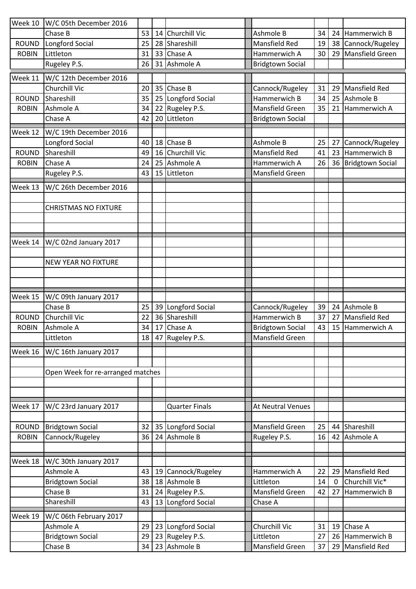|              | Week 10   W/C 05th December 2016   |          |    |                              |                              |          |              |                               |
|--------------|------------------------------------|----------|----|------------------------------|------------------------------|----------|--------------|-------------------------------|
|              | Chase B                            | 53       |    | 14 Churchill Vic             | Ashmole B                    | 34       | 24           | Hammerwich B                  |
| <b>ROUND</b> | Longford Social                    | 25       | 28 | Shareshill                   | <b>Mansfield Red</b>         | 19       | 38           | Cannock/Rugeley               |
| <b>ROBIN</b> | Littleton                          | 31       | 33 | Chase A                      | Hammerwich A                 | 30       | 29           | Mansfield Green               |
|              | Rugeley P.S.                       | 26       |    | 31 Ashmole A                 | <b>Bridgtown Social</b>      |          |              |                               |
| Week 11      | W/C 12th December 2016             |          |    |                              |                              |          |              |                               |
|              | <b>Churchill Vic</b>               | 20       |    | 35 Chase B                   | Cannock/Rugeley              | 31       | 29           | Mansfield Red                 |
| <b>ROUND</b> | Shareshill                         | 35       |    | 25 Longford Social           | Hammerwich B                 | 34       | 25           | Ashmole B                     |
| <b>ROBIN</b> | Ashmole A                          | 34       |    | 22 Rugeley P.S.              | Mansfield Green              | 35       | 21           | Hammerwich A                  |
|              | Chase A                            | 42       |    | 20 Littleton                 | <b>Bridgtown Social</b>      |          |              |                               |
|              | Week 12   W/C 19th December 2016   |          |    |                              |                              |          |              |                               |
|              | Longford Social                    | 40       |    | 18 Chase B                   | Ashmole B                    | 25       | 27           | Cannock/Rugeley               |
| <b>ROUND</b> | Shareshill                         | 49       | 16 | <b>Churchill Vic</b>         | <b>Mansfield Red</b>         | 41       | 23           | Hammerwich B                  |
| <b>ROBIN</b> | Chase A                            | 24       | 25 | Ashmole A                    | Hammerwich A                 | 26       | 36           | <b>Bridgtown Social</b>       |
|              | Rugeley P.S.                       | 43       | 15 | Littleton                    | Mansfield Green              |          |              |                               |
|              |                                    |          |    |                              |                              |          |              |                               |
| Week 13      | W/C 26th December 2016             |          |    |                              |                              |          |              |                               |
|              | <b>CHRISTMAS NO FIXTURE</b>        |          |    |                              |                              |          |              |                               |
|              |                                    |          |    |                              |                              |          |              |                               |
|              |                                    |          |    |                              |                              |          |              |                               |
|              |                                    |          |    |                              |                              |          |              |                               |
|              | Week 14   W/C 02nd January 2017    |          |    |                              |                              |          |              |                               |
|              |                                    |          |    |                              |                              |          |              |                               |
|              | <b>NEW YEAR NO FIXTURE</b>         |          |    |                              |                              |          |              |                               |
|              |                                    |          |    |                              |                              |          |              |                               |
|              |                                    |          |    |                              |                              |          |              |                               |
| Week 15      | W/C 09th January 2017              |          |    |                              |                              |          |              |                               |
|              | Chase B                            | 25       |    | 39 Longford Social           | Cannock/Rugeley              | 39       |              | 24 Ashmole B                  |
| <b>ROUND</b> | Churchill Vic                      | 22       |    | 36 Shareshill                | Hammerwich B                 | 37       | 27           | Mansfield Red                 |
| <b>ROBIN</b> | Ashmole A                          | 34       |    | 17 Chase A                   | <b>Bridgtown Social</b>      | 43       |              | 15 Hammerwich A               |
|              | Littleton                          |          |    | 18 47 Rugeley P.S.           | <b>Mansfield Green</b>       |          |              |                               |
| Week 16      | W/C 16th January 2017              |          |    |                              |                              |          |              |                               |
|              |                                    |          |    |                              |                              |          |              |                               |
|              | Open Week for re-arranged matches  |          |    |                              |                              |          |              |                               |
|              |                                    |          |    |                              |                              |          |              |                               |
|              |                                    |          |    |                              |                              |          |              |                               |
| Week 17      | W/C 23rd January 2017              |          |    | <b>Quarter Finals</b>        | <b>At Neutral Venues</b>     |          |              |                               |
|              |                                    |          |    |                              |                              |          |              |                               |
| <b>ROUND</b> | <b>Bridgtown Social</b>            | 32       |    | 35 Longford Social           | <b>Mansfield Green</b>       | 25       | 44           | Shareshill                    |
| <b>ROBIN</b> | Cannock/Rugeley                    | 36       |    | 24 Ashmole B                 | Rugeley P.S.                 | 16       | 42           | Ashmole A                     |
|              |                                    |          |    |                              |                              |          |              |                               |
| Week 18      | W/C 30th January 2017              |          |    |                              |                              |          |              |                               |
|              | Ashmole A                          | 43       | 19 | Cannock/Rugeley              | Hammerwich A                 | 22       | 29           | <b>Mansfield Red</b>          |
|              | <b>Bridgtown Social</b>            | 38       |    | 18 Ashmole B                 | Littleton                    | 14       | $\mathbf{0}$ | Churchill Vic*                |
|              | Chase B                            | 31       |    | 24 Rugeley P.S.              | Mansfield Green              | 42       | 27           | Hammerwich B                  |
|              | Shareshill                         | 43       | 13 | Longford Social              | Chase A                      |          |              |                               |
|              |                                    |          |    |                              |                              |          |              |                               |
|              |                                    |          |    |                              |                              |          |              |                               |
|              | W/C 06th February 2017             |          |    |                              |                              |          |              |                               |
|              | Ashmole A                          | 29       |    | 23 Longford Social           | Churchill Vic                | 31       | 19           | Chase A                       |
| Week 19      | <b>Bridgtown Social</b><br>Chase B | 29<br>34 | 23 | Rugeley P.S.<br>23 Ashmole B | Littleton<br>Mansfield Green | 27<br>37 | 26<br>29     | Hammerwich B<br>Mansfield Red |